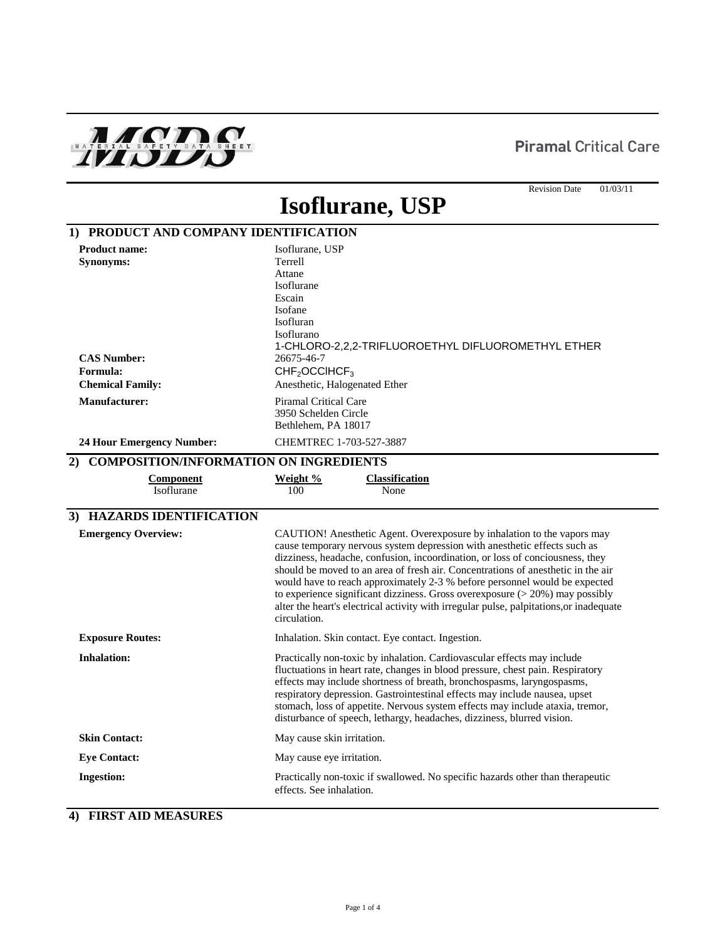## **Piramal Critical Care**



#### Revision Date 01/03/11

# **Isoflurane, USP**

| 1) PRODUCT AND COMPANY IDENTIFICATION                                                                                                                      |                                                                                                                                                                                                                                                                                                                                                                                                                                                                                                                                                                                                       |
|------------------------------------------------------------------------------------------------------------------------------------------------------------|-------------------------------------------------------------------------------------------------------------------------------------------------------------------------------------------------------------------------------------------------------------------------------------------------------------------------------------------------------------------------------------------------------------------------------------------------------------------------------------------------------------------------------------------------------------------------------------------------------|
| <b>Product name:</b><br>Synonyms:<br><b>CAS Number:</b><br>Formula:<br><b>Chemical Family:</b><br><b>Manufacturer:</b><br><b>24 Hour Emergency Number:</b> | Isoflurane, USP<br>Terrell<br>Attane<br>Isoflurane<br>Escain<br>Isofane<br>Isofluran<br>Isoflurano<br>1-CHLORO-2,2,2-TRIFLUOROETHYL DIFLUOROMETHYL ETHER<br>26675-46-7<br>CHF <sub>2</sub> OCCHCF <sub>3</sub><br>Anesthetic, Halogenated Ether<br><b>Piramal Critical Care</b><br>3950 Schelden Circle<br>Bethlehem, PA 18017<br>CHEMTREC 1-703-527-3887                                                                                                                                                                                                                                             |
|                                                                                                                                                            |                                                                                                                                                                                                                                                                                                                                                                                                                                                                                                                                                                                                       |
| 2) COMPOSITION/INFORMATION ON INGREDIENTS<br><b>Component</b><br>Isoflurane                                                                                | Weight %<br><b>Classification</b><br>100<br>None                                                                                                                                                                                                                                                                                                                                                                                                                                                                                                                                                      |
| 3) HAZARDS IDENTIFICATION                                                                                                                                  |                                                                                                                                                                                                                                                                                                                                                                                                                                                                                                                                                                                                       |
| <b>Emergency Overview:</b>                                                                                                                                 | CAUTION! Anesthetic Agent. Overexposure by inhalation to the vapors may<br>cause temporary nervous system depression with anesthetic effects such as<br>dizziness, headache, confusion, incoordination, or loss of conciousness, they<br>should be moved to an area of fresh air. Concentrations of anesthetic in the air<br>would have to reach approximately 2-3 % before personnel would be expected<br>to experience significant dizziness. Gross overexposure $(> 20\%)$ may possibly<br>alter the heart's electrical activity with irregular pulse, palpitations, or inadequate<br>circulation. |
| <b>Exposure Routes:</b>                                                                                                                                    | Inhalation. Skin contact. Eye contact. Ingestion.                                                                                                                                                                                                                                                                                                                                                                                                                                                                                                                                                     |
| <b>Inhalation:</b>                                                                                                                                         | Practically non-toxic by inhalation. Cardiovascular effects may include<br>fluctuations in heart rate, changes in blood pressure, chest pain. Respiratory<br>effects may include shortness of breath, bronchospasms, laryngospasms,<br>respiratory depression. Gastrointestinal effects may include nausea, upset<br>stomach, loss of appetite. Nervous system effects may include ataxia, tremor,<br>disturbance of speech, lethargy, headaches, dizziness, blurred vision.                                                                                                                          |
| <b>Skin Contact:</b>                                                                                                                                       | May cause skin irritation.                                                                                                                                                                                                                                                                                                                                                                                                                                                                                                                                                                            |
| <b>Eye Contact:</b>                                                                                                                                        | May cause eye irritation.                                                                                                                                                                                                                                                                                                                                                                                                                                                                                                                                                                             |
| <b>Ingestion:</b>                                                                                                                                          | Practically non-toxic if swallowed. No specific hazards other than therapeutic<br>effects. See inhalation.                                                                                                                                                                                                                                                                                                                                                                                                                                                                                            |

### **4) FIRST AID MEASURES**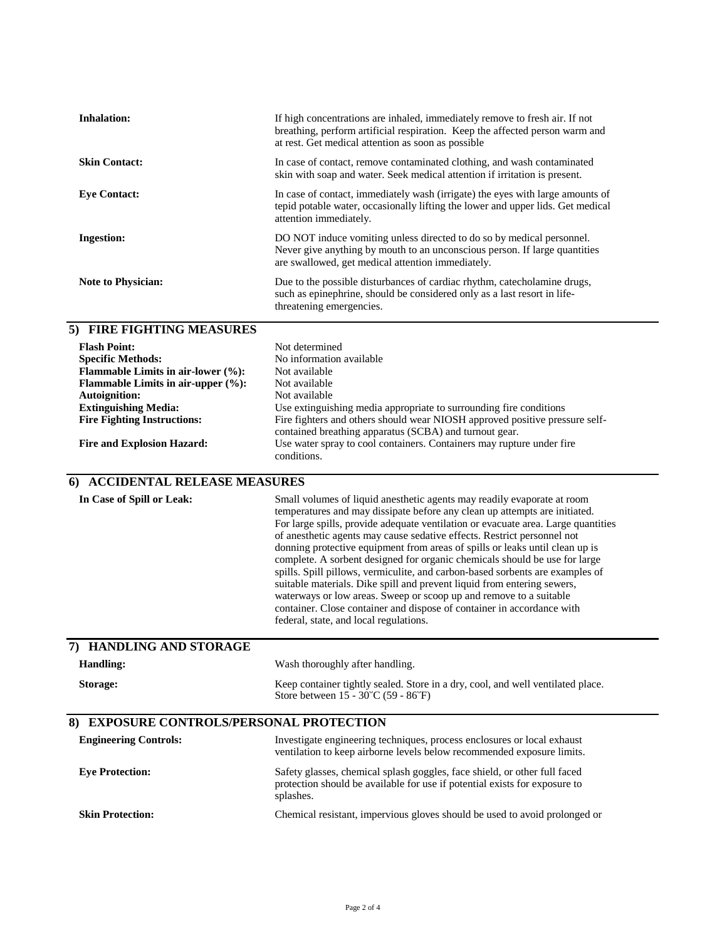| <b>Inhalation:</b>                                                                                                                                                             | If high concentrations are inhaled, immediately remove to fresh air. If not<br>breathing, perform artificial respiration. Keep the affected person warm and<br>at rest. Get medical attention as soon as possible                                                                                                                                                                                                                                                                                                                                                                                                                                                                                                                                                                                                                         |  |
|--------------------------------------------------------------------------------------------------------------------------------------------------------------------------------|-------------------------------------------------------------------------------------------------------------------------------------------------------------------------------------------------------------------------------------------------------------------------------------------------------------------------------------------------------------------------------------------------------------------------------------------------------------------------------------------------------------------------------------------------------------------------------------------------------------------------------------------------------------------------------------------------------------------------------------------------------------------------------------------------------------------------------------------|--|
| <b>Skin Contact:</b>                                                                                                                                                           | In case of contact, remove contaminated clothing, and wash contaminated<br>skin with soap and water. Seek medical attention if irritation is present.                                                                                                                                                                                                                                                                                                                                                                                                                                                                                                                                                                                                                                                                                     |  |
| <b>Eye Contact:</b>                                                                                                                                                            | In case of contact, immediately wash (irrigate) the eyes with large amounts of<br>tepid potable water, occasionally lifting the lower and upper lids. Get medical<br>attention immediately.                                                                                                                                                                                                                                                                                                                                                                                                                                                                                                                                                                                                                                               |  |
| <b>Ingestion:</b>                                                                                                                                                              | DO NOT induce vomiting unless directed to do so by medical personnel.<br>Never give anything by mouth to an unconscious person. If large quantities<br>are swallowed, get medical attention immediately.                                                                                                                                                                                                                                                                                                                                                                                                                                                                                                                                                                                                                                  |  |
| Note to Physician:                                                                                                                                                             | Due to the possible disturbances of cardiac rhythm, catecholamine drugs,<br>such as epinephrine, should be considered only as a last resort in life-<br>threatening emergencies.                                                                                                                                                                                                                                                                                                                                                                                                                                                                                                                                                                                                                                                          |  |
| 5) FIRE FIGHTING MEASURES                                                                                                                                                      |                                                                                                                                                                                                                                                                                                                                                                                                                                                                                                                                                                                                                                                                                                                                                                                                                                           |  |
| <b>Flash Point:</b><br><b>Specific Methods:</b><br>Flammable Limits in air-lower (%):<br>Flammable Limits in air-upper $(\%):$<br>Autoignition:<br><b>Extinguishing Media:</b> | Not determined<br>No information available<br>Not available<br>Not available<br>Not available<br>Use extinguishing media appropriate to surrounding fire conditions                                                                                                                                                                                                                                                                                                                                                                                                                                                                                                                                                                                                                                                                       |  |
| <b>Fire Fighting Instructions:</b><br><b>Fire and Explosion Hazard:</b>                                                                                                        | Fire fighters and others should wear NIOSH approved positive pressure self-<br>contained breathing apparatus (SCBA) and turnout gear.<br>Use water spray to cool containers. Containers may rupture under fire                                                                                                                                                                                                                                                                                                                                                                                                                                                                                                                                                                                                                            |  |
|                                                                                                                                                                                | conditions.                                                                                                                                                                                                                                                                                                                                                                                                                                                                                                                                                                                                                                                                                                                                                                                                                               |  |
| 6) ACCIDENTAL RELEASE MEASURES                                                                                                                                                 |                                                                                                                                                                                                                                                                                                                                                                                                                                                                                                                                                                                                                                                                                                                                                                                                                                           |  |
|                                                                                                                                                                                |                                                                                                                                                                                                                                                                                                                                                                                                                                                                                                                                                                                                                                                                                                                                                                                                                                           |  |
| In Case of Spill or Leak:                                                                                                                                                      | Small volumes of liquid anesthetic agents may readily evaporate at room<br>temperatures and may dissipate before any clean up attempts are initiated.<br>For large spills, provide adequate ventilation or evacuate area. Large quantities<br>of anesthetic agents may cause sedative effects. Restrict personnel not<br>donning protective equipment from areas of spills or leaks until clean up is<br>complete. A sorbent designed for organic chemicals should be use for large<br>spills. Spill pillows, vermiculite, and carbon-based sorbents are examples of<br>suitable materials. Dike spill and prevent liquid from entering sewers,<br>waterways or low areas. Sweep or scoop up and remove to a suitable<br>container. Close container and dispose of container in accordance with<br>federal, state, and local regulations. |  |
| 7) HANDLING AND STORAGE                                                                                                                                                        |                                                                                                                                                                                                                                                                                                                                                                                                                                                                                                                                                                                                                                                                                                                                                                                                                                           |  |
| <b>Handling:</b>                                                                                                                                                               | Wash thoroughly after handling.                                                                                                                                                                                                                                                                                                                                                                                                                                                                                                                                                                                                                                                                                                                                                                                                           |  |
| Storage:                                                                                                                                                                       | Keep container tightly sealed. Store in a dry, cool, and well ventilated place.<br>Store between 15 - 30 °C (59 - 86 °F)                                                                                                                                                                                                                                                                                                                                                                                                                                                                                                                                                                                                                                                                                                                  |  |
| <b>EXPOSURE CONTROLS/PERSONAL PROTECTION</b><br>8)                                                                                                                             |                                                                                                                                                                                                                                                                                                                                                                                                                                                                                                                                                                                                                                                                                                                                                                                                                                           |  |
| <b>Engineering Controls:</b>                                                                                                                                                   | Investigate engineering techniques, process enclosures or local exhaust<br>ventilation to keep airborne levels below recommended exposure limits.                                                                                                                                                                                                                                                                                                                                                                                                                                                                                                                                                                                                                                                                                         |  |
| <b>Eye Protection:</b>                                                                                                                                                         | Safety glasses, chemical splash goggles, face shield, or other full faced<br>protection should be available for use if potential exists for exposure to<br>splashes.                                                                                                                                                                                                                                                                                                                                                                                                                                                                                                                                                                                                                                                                      |  |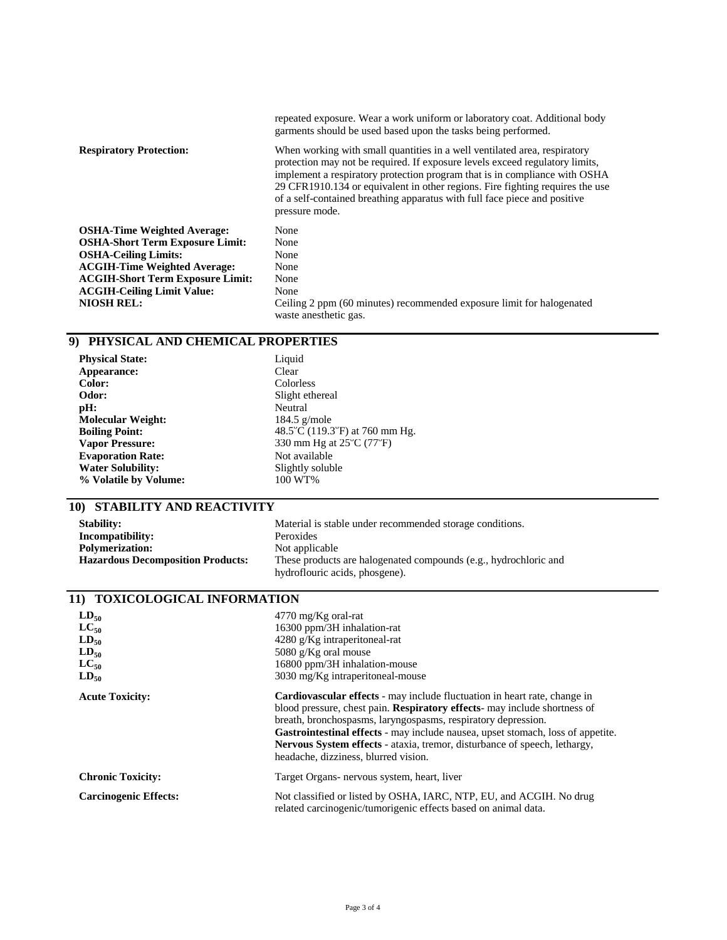|                                         | repeated exposure. Wear a work uniform or laboratory coat. Additional body<br>garments should be used based upon the tasks being performed.                                                                                                                                                                                                                                                                             |
|-----------------------------------------|-------------------------------------------------------------------------------------------------------------------------------------------------------------------------------------------------------------------------------------------------------------------------------------------------------------------------------------------------------------------------------------------------------------------------|
| <b>Respiratory Protection:</b>          | When working with small quantities in a well ventilated area, respiratory<br>protection may not be required. If exposure levels exceed regulatory limits,<br>implement a respiratory protection program that is in compliance with OSHA<br>29 CFR1910.134 or equivalent in other regions. Fire fighting requires the use<br>of a self-contained breathing apparatus with full face piece and positive<br>pressure mode. |
| <b>OSHA-Time Weighted Average:</b>      | None                                                                                                                                                                                                                                                                                                                                                                                                                    |
| <b>OSHA-Short Term Exposure Limit:</b>  | None                                                                                                                                                                                                                                                                                                                                                                                                                    |
| <b>OSHA-Ceiling Limits:</b>             | None                                                                                                                                                                                                                                                                                                                                                                                                                    |
| <b>ACGIH-Time Weighted Average:</b>     | None                                                                                                                                                                                                                                                                                                                                                                                                                    |
| <b>ACGIH-Short Term Exposure Limit:</b> | None                                                                                                                                                                                                                                                                                                                                                                                                                    |
| <b>ACGIH-Ceiling Limit Value:</b>       | None                                                                                                                                                                                                                                                                                                                                                                                                                    |
| <b>NIOSH REL:</b>                       | Ceiling 2 ppm (60 minutes) recommended exposure limit for halogenated                                                                                                                                                                                                                                                                                                                                                   |

waste anesthetic gas.

#### **9) PHYSICAL AND CHEMICAL PROPERTIES**

| <b>Physical State:</b>   | Liquid                           |
|--------------------------|----------------------------------|
| Appearance:              | Clear                            |
| Color:                   | Colorless                        |
| Odor:                    | Slight ethereal                  |
| pH:                      | Neutral                          |
| <b>Molecular Weight:</b> | $184.5$ g/mole                   |
| <b>Boiling Point:</b>    | 48.5 °C (119.3 °F) at 760 mm Hg. |
| <b>Vapor Pressure:</b>   | 330 mm Hg at 25 °C (77 °F)       |
| <b>Evaporation Rate:</b> | Not available                    |
| <b>Water Solubility:</b> | Slightly soluble                 |
| % Volatile by Volume:    | 100 WT%                          |
|                          |                                  |

## **10) STABILITY AND REACTIVITY**

| <b>Stability:</b>                        | Material is stable under recommended storage conditions.                                           |
|------------------------------------------|----------------------------------------------------------------------------------------------------|
| Incompatibility:                         | Peroxides                                                                                          |
| <b>Polymerization:</b>                   | Not applicable                                                                                     |
| <b>Hazardous Decomposition Products:</b> | These products are halogenated compounds (e.g., hydrochloric and<br>hydroflouric acids, phosgene). |

#### **11) TOXICOLOGICAL INFORMATION**

| $LD_{50}$<br>$LC_{50}$<br>$LD_{50}$<br>$LD_{50}$<br>$LC_{50}$<br>$LD_{50}$ | $4770 \text{ mg/Kg}$ oral-rat<br>16300 ppm/3H inhalation-rat<br>4280 g/Kg intraperitoneal-rat<br>5080 $g/Kg$ oral mouse<br>16800 ppm/3H inhalation-mouse<br>3030 mg/Kg intraperitoneal-mouse                                                                                                                                                                                                                                                                 |
|----------------------------------------------------------------------------|--------------------------------------------------------------------------------------------------------------------------------------------------------------------------------------------------------------------------------------------------------------------------------------------------------------------------------------------------------------------------------------------------------------------------------------------------------------|
| <b>Acute Toxicity:</b>                                                     | <b>Cardiovascular effects</b> - may include fluctuation in heart rate, change in<br>blood pressure, chest pain. <b>Respiratory effects</b> - may include shortness of<br>breath, bronchospasms, laryngospasms, respiratory depression.<br><b>Gastrointestinal effects</b> - may include nausea, upset stomach, loss of appetite.<br><b>Nervous System effects</b> - ataxia, tremor, disturbance of speech, lethargy,<br>headache, dizziness, blurred vision. |
| <b>Chronic Toxicity:</b>                                                   | Target Organs- nervous system, heart, liver                                                                                                                                                                                                                                                                                                                                                                                                                  |
| <b>Carcinogenic Effects:</b>                                               | Not classified or listed by OSHA, IARC, NTP, EU, and ACGIH. No drug<br>related carcinogenic/tumorigenic effects based on animal data.                                                                                                                                                                                                                                                                                                                        |